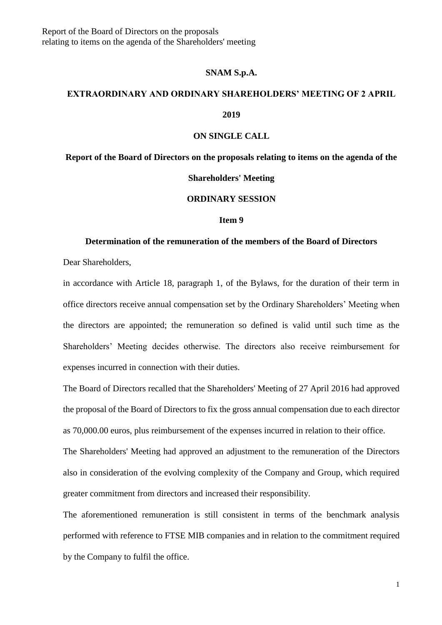#### **SNAM S.p.A.**

# **EXTRAORDINARY AND ORDINARY SHAREHOLDERS' MEETING OF 2 APRIL 2019**

#### **ON SINGLE CALL**

**Report of the Board of Directors on the proposals relating to items on the agenda of the** 

## **Shareholders' Meeting**

# **ORDINARY SESSION**

#### **Item 9**

### **Determination of the remuneration of the members of the Board of Directors**

Dear Shareholders,

in accordance with Article 18, paragraph 1, of the Bylaws, for the duration of their term in office directors receive annual compensation set by the Ordinary Shareholders' Meeting when the directors are appointed; the remuneration so defined is valid until such time as the Shareholders' Meeting decides otherwise. The directors also receive reimbursement for expenses incurred in connection with their duties.

The Board of Directors recalled that the Shareholders' Meeting of 27 April 2016 had approved the proposal of the Board of Directors to fix the gross annual compensation due to each director as 70,000.00 euros, plus reimbursement of the expenses incurred in relation to their office.

The Shareholders' Meeting had approved an adjustment to the remuneration of the Directors also in consideration of the evolving complexity of the Company and Group, which required greater commitment from directors and increased their responsibility.

The aforementioned remuneration is still consistent in terms of the benchmark analysis performed with reference to FTSE MIB companies and in relation to the commitment required by the Company to fulfil the office.